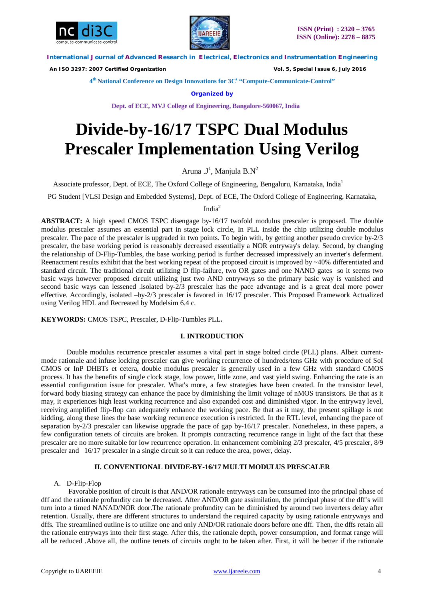



 *An ISO 3297: 2007 Certified Organization Vol. 5, Special Issue 6, July 2016*

**4 th National Conference on Design Innovations for 3C s "Compute-Communicate-Control"** 

**Organized by**

**Dept. of ECE, MVJ College of Engineering, Bangalore-560067, India**

# **Divide-by-16/17 TSPC Dual Modulus Prescaler Implementation Using Verilog**

Aruna .J<sup>1</sup>, Manjula B.N<sup>2</sup>

Associate professor, Dept. of ECE, The Oxford College of Engineering, Bengaluru, Karnataka, India<sup>1</sup>

PG Student [VLSI Design and Embedded Systems], Dept. of ECE, The Oxford College of Engineering, Karnataka,

Indi $a^2$ 

**ABSTRACT:** A high speed CMOS TSPC disengage by-16/17 twofold modulus prescaler is proposed. The double modulus prescaler assumes an essential part in stage lock circle, In PLL inside the chip utilizing double modulus prescaler. The pace of the prescaler is upgraded in two points. To begin with, by getting another pseudo crevice by-2/3 prescaler, the base working period is reasonably decreased essentially a NOR entryway's delay. Second, by changing the relationship of D-Flip-Tumbles, the base working period is further decreased impressively an inverter's deferment. Reenactment results exhibit that the best working repeat of the proposed circuit is improved by  $\sim$ 40% differentiated and standard circuit. The traditional circuit utilizing D flip-failure, two OR gates and one NAND gates so it seems two basic ways however proposed circuit utilizing just two AND entryways so the primary basic way is vanished and second basic ways can lessened .isolated by-2/3 prescaler has the pace advantage and is a great deal more power effective. Accordingly, isolated –by-2/3 prescaler is favored in 16/17 prescaler. This Proposed Framework Actualized using Verilog HDL and Recreated by Modelsim 6.4 c.

**KEYWORDS:** CMOS TSPC, Prescaler, D-Flip-Tumbles PLL**.**

# **I. INTRODUCTION**

Double modulus recurrence prescaler assumes a vital part in stage bolted circle (PLL) plans. Albeit currentmode rationale and infuse locking prescaler can give working recurrence of hundreds/tens GHz with procedure of SoI CMOS or InP DHBTs et cetera, double modulus prescaler is generally used in a few GHz with standard CMOS process. It has the benefits of single clock stage, low power, little zone, and vast yield swing. Enhancing the rate is an essential configuration issue for prescaler. What's more, a few strategies have been created. In the transistor level, forward body biasing strategy can enhance the pace by diminishing the limit voltage of nMOS transistors. Be that as it may, it experiences high least working recurrence and also expanded cost and diminished vigor. In the entryway level, receiving amplified flip-flop can adequately enhance the working pace. Be that as it may, the present spillage is not kidding, along these lines the base working recurrence execution is restricted. In the RTL level, enhancing the pace of separation by-2/3 prescaler can likewise upgrade the pace of gap by-16/17 prescaler. Nonetheless, in these papers, a few configuration tenets of circuits are broken. It prompts contracting recurrence range in light of the fact that these prescaler are no more suitable for low recurrence operation. In enhancement combining 2/3 prescaler, 4/5 prescaler, 8/9 prescaler and 16/17 prescaler in a single circuit so it can reduce the area, power, delay.

# **II. CONVENTIONAL DIVIDE-BY-16/17 MULTI MODULUS PRESCALER**

# A. D-Flip-Flop

Favorable position of circuit is that AND/OR rationale entryways can be consumed into the principal phase of dff and the rationale profundity can be decreased. After AND/OR gate assimilation, the principal phase of the dff's will turn into a timed NANAD/NOR door.The rationale profundity can be diminished by around two inverters delay after retention. Usually, there are different structures to understand the required capacity by using rationale entryways and dffs. The streamlined outline is to utilize one and only AND/OR rationale doors before one dff. Then, the dffs retain all the rationale entryways into their first stage. After this, the rationale depth, power consumption, and format range will all be reduced .Above all, the outline tenets of circuits ought to be taken after. First, it will be better if the rationale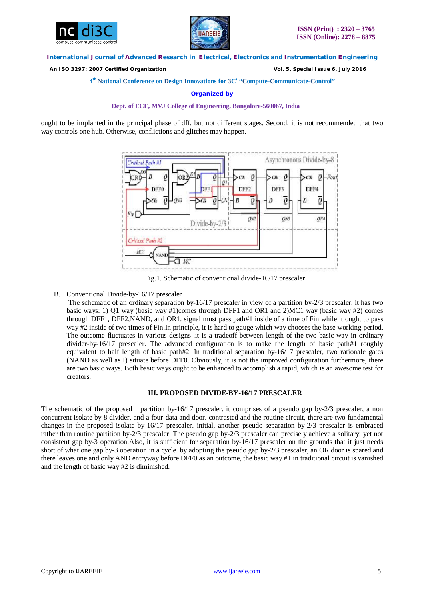



 *An ISO 3297: 2007 Certified Organization Vol. 5, Special Issue 6, July 2016*

**4 th National Conference on Design Innovations for 3C s "Compute-Communicate-Control"** 

**Organized by**

**Dept. of ECE, MVJ College of Engineering, Bangalore-560067, India**

ought to be implanted in the principal phase of dff, but not different stages. Second, it is not recommended that two way controls one hub. Otherwise, conflictions and glitches may happen.



Fig.1. Schematic of conventional divide-16/17 prescaler

# B. Conventional Divide-by-16/17 prescaler

The schematic of an ordinary separation by-16/17 prescaler in view of a partition by-2/3 prescaler. it has two basic ways: 1) Q1 way (basic way #1)comes through DFF1 and OR1 and 2)MC1 way (basic way #2) comes through DFF1, DFF2,NAND, and OR1. signal must pass path#1 inside of a time of Fin while it ought to pass way #2 inside of two times of Fin.In principle, it is hard to gauge which way chooses the base working period. The outcome fluctuates in various designs .it is a tradeoff between length of the two basic way in ordinary divider-by-16/17 prescaler. The advanced configuration is to make the length of basic path#1 roughly equivalent to half length of basic path#2. In traditional separation by-16/17 prescaler, two rationale gates (NAND as well as I) situate before DFF0. Obviously, it is not the improved configuration furthermore, there are two basic ways. Both basic ways ought to be enhanced to accomplish a rapid, which is an awesome test for creators.

# **III. PROPOSED DIVIDE-BY-16/17 PRESCALER**

The schematic of the proposed partition by-16/17 prescaler. it comprises of a pseudo gap by-2/3 prescaler, a non concurrent isolate by-8 divider, and a four-data and door. contrasted and the routine circuit, there are two fundamental changes in the proposed isolate by-16/17 prescaler. initial, another pseudo separation by-2/3 prescaler is embraced rather than routine partition by-2/3 prescaler. The pseudo gap by-2/3 prescaler can precisely achieve a solitary, yet not consistent gap by-3 operation.Also, it is sufficient for separation by-16/17 prescaler on the grounds that it just needs short of what one gap by-3 operation in a cycle. by adopting the pseudo gap by-2/3 prescaler, an OR door is spared and there leaves one and only AND entryway before DFF0.as an outcome, the basic way #1 in traditional circuit is vanished and the length of basic way #2 is diminished.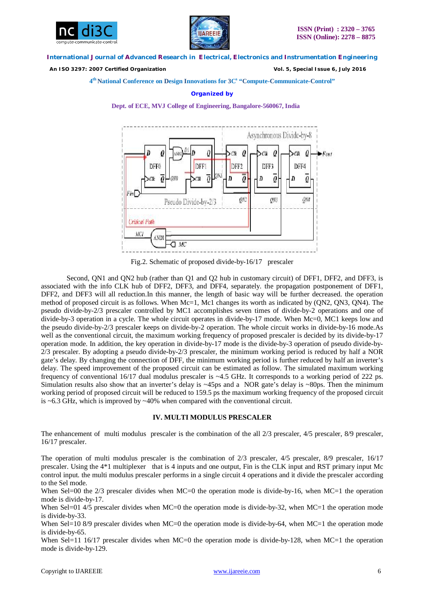



 *An ISO 3297: 2007 Certified Organization Vol. 5, Special Issue 6, July 2016*

**4 th National Conference on Design Innovations for 3C s "Compute-Communicate-Control"** 

#### **Organized by**

**Dept. of ECE, MVJ College of Engineering, Bangalore-560067, India**



Fig.2. Schematic of proposed divide-by-16/17 prescaler

Second, QN1 and QN2 hub (rather than Q1 and Q2 hub in customary circuit) of DFF1, DFF2, and DFF3, is associated with the info CLK hub of DFF2, DFF3, and DFF4, separately. the propagation postponement of DFF1, DFF2, and DFF3 will all reduction.In this manner, the length of basic way will be further decreased. the operation method of proposed circuit is as follows. When Mc=1, Mc1 changes its worth as indicated by (QN2, QN3, QN4). The pseudo divide-by-2/3 prescaler controlled by MC1 accomplishes seven times of divide-by-2 operations and one of divide-by-3 operation in a cycle. The whole circuit operates in divide-by-17 mode. When Mc=0, MC1 keeps low and the pseudo divide-by-2/3 prescaler keeps on divide-by-2 operation. The whole circuit works in divide-by-16 mode.As well as the conventional circuit, the maximum working frequency of proposed prescaler is decided by its divide-by-17 operation mode. In addition, the key operation in divide-by-17 mode is the divide-by-3 operation of pseudo divide-by-2/3 prescaler. By adopting a pseudo divide-by-2/3 prescaler, the minimum working period is reduced by half a NOR gate's delay. By changing the connection of DFF, the minimum working period is further reduced by half an inverter's delay. The speed improvement of the proposed circuit can be estimated as follow. The simulated maximum working frequency of conventional 16/17 dual modulus prescaler is ~4.5 GHz. It corresponds to a working period of 222 ps. Simulation results also show that an inverter's delay is  $\sim$ 45ps and a NOR gate's delay is  $\sim$ 80ps. Then the minimum working period of proposed circuit will be reduced to 159.5 ps the maximum working frequency of the proposed circuit is ~6.3 GHz, which is improved by ~40% when compared with the conventional circuit.

### **IV. MULTI MODULUS PRESCALER**

The enhancement of multi modulus prescaler is the combination of the all 2/3 prescaler, 4/5 prescaler, 8/9 prescaler, 16/17 prescaler.

The operation of multi modulus prescaler is the combination of 2/3 prescaler, 4/5 prescaler, 8/9 prescaler, 16/17 prescaler. Using the 4\*1 multiplexer that is 4 inputs and one output, Fin is the CLK input and RST primary input Mc control input. the multi modulus prescaler performs in a single circuit 4 operations and it divide the prescaler according to the Sel mode.

When Sel=00 the 2/3 prescaler divides when MC=0 the operation mode is divide-by-16, when MC=1 the operation mode is divide-by-17.

When Sel=01 4/5 prescaler divides when MC=0 the operation mode is divide-by-32, when MC=1 the operation mode is divide-by-33.

When Sel=10 8/9 prescaler divides when MC=0 the operation mode is divide-by-64, when MC=1 the operation mode is divide-by-65.

When Sel=11 16/17 prescaler divides when MC=0 the operation mode is divide-by-128, when MC=1 the operation mode is divide-by-129.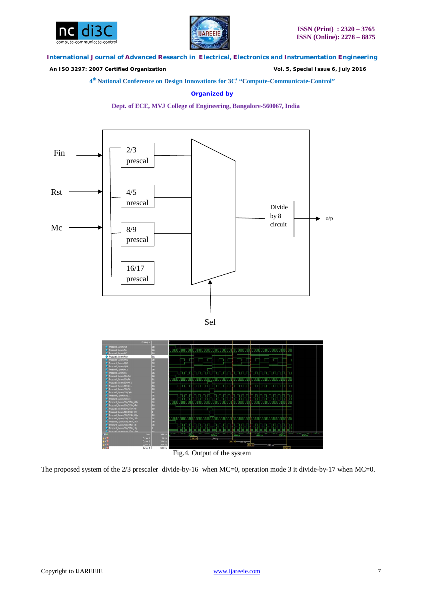



 *An ISO 3297: 2007 Certified Organization Vol. 5, Special Issue 6, July 2016*

**4 th National Conference on Design Innovations for 3C s "Compute-Communicate-Control"** 

**Organized by**

**Dept. of ECE, MVJ College of Engineering, Bangalore-560067, India**





Fig.4. Output of the system

The proposed system of the 2/3 prescaler divide-by-16 when MC=0, operation mode 3 it divide-by-17 when MC=0.